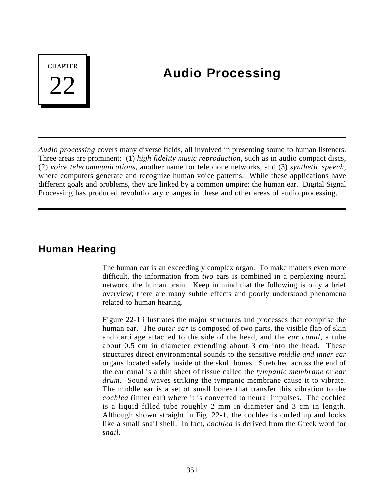# **CHAPTER**

# 22 **Audio Processing**

*Audio processing* covers many diverse fields, all involved in presenting sound to human listeners. Three areas are prominent: (1) *high fidelity music reproduction*, such as in audio compact discs, (2) *voice telecommunications*, another name for telephone networks, and (3) *synthetic speech*, where computers generate and recognize human voice patterns. While these applications have different goals and problems, they are linked by a common umpire: the human ear. Digital Signal Processing has produced revolutionary changes in these and other areas of audio processing.

# **Human Hearing**

The human ear is an exceedingly complex organ. To make matters even more difficult, the information from *two* ears is combined in a perplexing neural network, the human brain. Keep in mind that the following is only a brief overview; there are many subtle effects and poorly understood phenomena related to human hearing.

Figure 22-1 illustrates the major structures and processes that comprise the human ear. The *outer ear* is composed of two parts, the visible flap of skin and cartilage attached to the side of the head, and the *ear canal*, a tube about 0.5 cm in diameter extending about 3 cm into the head. These structures direct environmental sounds to the sensitive *middle and inner ear* organs located safely inside of the skull bones. Stretched across the end of the ear canal is a thin sheet of tissue called the *tympanic membrane* or *ear drum*. Sound waves striking the tympanic membrane cause it to vibrate. The middle ear is a set of small bones that transfer this vibration to the *cochlea* (inner ear) where it is converted to neural impulses. The cochlea is a liquid filled tube roughly 2 mm in diameter and 3 cm in length. Although shown straight in Fig. 22-1, the cochlea is curled up and looks like a small snail shell. In fact, *cochlea* is derived from the Greek word for *snail*.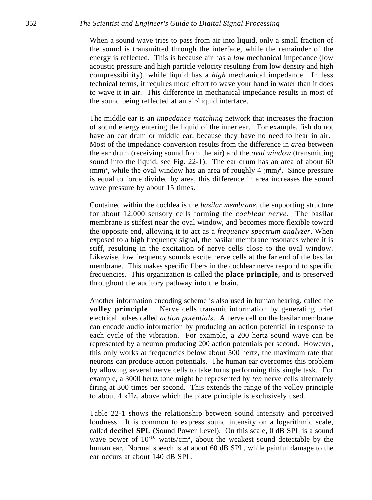When a sound wave tries to pass from air into liquid, only a small fraction of the sound is transmitted through the interface, while the remainder of the energy is reflected. This is because air has a *low* mechanical impedance (low acoustic pressure and high particle velocity resulting from low density and high compressibility), while liquid has a *high* mechanical impedance. In less technical terms, it requires more effort to wave your hand in water than it does to wave it in air. This difference in mechanical impedance results in most of the sound being reflected at an air/liquid interface.

The middle ear is an *impedance matching* network that increases the fraction of sound energy entering the liquid of the inner ear. For example, fish do not have an ear drum or middle ear, because they have no need to hear in air. Most of the impedance conversion results from the difference in *area* between the ear drum (receiving sound from the air) and the *oval window* (transmitting sound into the liquid, see Fig. 22-1). The ear drum has an area of about 60  $\text{(mm)}^2$ , while the oval window has an area of roughly 4  $\text{(mm)}^2$ . Since pressure is equal to force divided by area, this difference in area increases the sound wave pressure by about 15 times.

Contained within the cochlea is the *basilar membrane*, the supporting structure for about 12,000 sensory cells forming the *cochlear nerve*. The basilar membrane is stiffest near the oval window, and becomes more flexible toward the opposite end, allowing it to act as a *frequency spectrum analyzer*. When exposed to a high frequency signal, the basilar membrane resonates where it is stiff, resulting in the excitation of nerve cells close to the oval window. Likewise, low frequency sounds excite nerve cells at the far end of the basilar membrane. This makes specific fibers in the cochlear nerve respond to specific frequencies. This organization is called the **place principle**, and is preserved throughout the auditory pathway into the brain.

Another information encoding scheme is also used in human hearing, called the **volley principle**. Nerve cells transmit information by generating brief electrical pulses called *action potentials*. A nerve cell on the basilar membrane can encode audio information by producing an action potential in response to each cycle of the vibration. For example, a 200 hertz sound wave can be represented by a neuron producing 200 action potentials per second. However, this only works at frequencies below about 500 hertz, the maximum rate that neurons can produce action potentials. The human ear overcomes this problem by allowing several nerve cells to take turns performing this single task. For example, a 3000 hertz tone might be represented by *ten* nerve cells alternately firing at 300 times per second. This extends the range of the volley principle to about 4 kHz, above which the place principle is exclusively used.

Table 22-1 shows the relationship between sound intensity and perceived loudness. It is common to express sound intensity on a logarithmic scale, called **decibel SPL** (Sound Power Level). On this scale, 0 dB SPL is a sound wave power of  $10^{-16}$  watts/cm<sup>2</sup>, about the weakest sound detectable by the human ear. Normal speech is at about 60 dB SPL, while painful damage to the ear occurs at about 140 dB SPL.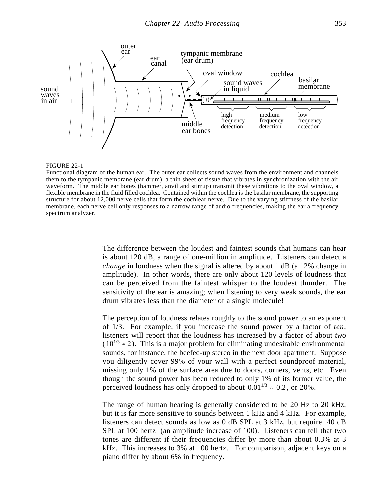

### FIGURE 22-1

Functional diagram of the human ear. The outer ear collects sound waves from the environment and channels them to the tympanic membrane (ear drum), a thin sheet of tissue that vibrates in synchronization with the air waveform. The middle ear bones (hammer, anvil and stirrup) transmit these vibrations to the oval window, a flexible membrane in the fluid filled cochlea. Contained within the cochlea is the basilar membrane, the supporting structure for about 12,000 nerve cells that form the cochlear nerve. Due to the varying stiffness of the basilar membrane, each nerve cell only responses to a narrow range of audio frequencies, making the ear a frequency spectrum analyzer.

> The difference between the loudest and faintest sounds that humans can hear is about 120 dB, a range of one-million in amplitude. Listeners can detect a *change* in loudness when the signal is altered by about 1 dB (a 12% change in amplitude). In other words, there are only about 120 levels of loudness that can be perceived from the faintest whisper to the loudest thunder. The sensitivity of the ear is amazing; when listening to very weak sounds, the ear drum vibrates less than the diameter of a single molecule!

> The perception of loudness relates roughly to the sound power to an exponent of 1/3. For example, if you increase the sound power by a factor of *ten*, listeners will report that the loudness has increased by a factor of about *two*  $(10^{1/3} \approx 2)$ . This is a major problem for eliminating undesirable environmental sounds, for instance, the beefed-up stereo in the next door apartment. Suppose you diligently cover 99% of your wall with a perfect soundproof material, missing only 1% of the surface area due to doors, corners, vents, etc. Even though the sound power has been reduced to only 1% of its former value, the perceived loudness has only dropped to about  $0.01^{1/3} \approx 0.2$ , or 20%.

> The range of human hearing is generally considered to be 20 Hz to 20 kHz, but it is far more sensitive to sounds between 1 kHz and 4 kHz. For example, listeners can detect sounds as low as 0 dB SPL at 3 kHz, but require 40 dB SPL at 100 hertz (an amplitude increase of 100). Listeners can tell that two tones are different if their frequencies differ by more than about 0.3% at 3 kHz. This increases to 3% at 100 hertz. For comparison, adjacent keys on a piano differ by about 6% in frequency.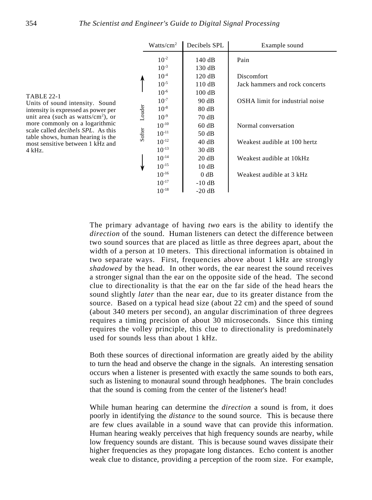|                  | Watts/cm <sup>2</sup> | Decibels SPL | Example sound                   |  |  |
|------------------|-----------------------|--------------|---------------------------------|--|--|
| Louder<br>Softer | $10^{-2}$             | 140dB        | Pain                            |  |  |
|                  | $10^{-3}$             | 130 dB       |                                 |  |  |
|                  | $10^{-4}$             | 120dB        | Discomfort                      |  |  |
|                  | $10^{-5}$             | 110dB        | Jack hammers and rock concerts  |  |  |
|                  | $10^{-6}$             | 100dB        |                                 |  |  |
|                  | $10^{-7}$             | 90 dB        | OSHA limit for industrial noise |  |  |
|                  | $10^{-8}$             | 80dB         |                                 |  |  |
|                  | $10^{-9}$             | 70dB         |                                 |  |  |
|                  | $10^{-10}$            | 60 dB        | Normal conversation             |  |  |
|                  | $10^{-11}$            | 50dB         |                                 |  |  |
|                  | $10^{-12}$            | 40dB         | Weakest audible at 100 hertz    |  |  |
|                  | $10^{-13}$            | 30 dB        |                                 |  |  |
|                  | $10^{-14}$            | 20dB         | Weakest audible at 10kHz        |  |  |
|                  | $10^{-15}$            | 10dB         |                                 |  |  |
|                  | $10^{-16}$            | 0 dB         | Weakest audible at 3 kHz        |  |  |
|                  | $10^{-17}$            | $-10$ dB     |                                 |  |  |
|                  | $10^{-18}$            | $-20$ dB     |                                 |  |  |

TABLE 22-1 Units of sound intensity. Sound intensity is expressed as power per unit area (such as watts/cm<sup>2</sup>), or more commonly on a logarithmic scale called *decibels SPL*. As this table shows, human hearing is the most sensitive between 1 kHz and  $4$  kHz.

> The primary advantage of having *two* ears is the ability to identify the *direction* of the sound. Human listeners can detect the difference between two sound sources that are placed as little as three degrees apart, about the width of a person at 10 meters. This directional information is obtained in two separate ways. First, frequencies above about 1 kHz are strongly *shadowed* by the head. In other words, the ear nearest the sound receives a stronger signal than the ear on the opposite side of the head. The second clue to directionality is that the ear on the far side of the head hears the sound slightly *later* than the near ear, due to its greater distance from the source. Based on a typical head size (about 22 cm) and the speed of sound (about 340 meters per second), an angular discrimination of three degrees requires a timing precision of about 30 microseconds. Since this timing requires the volley principle, this clue to directionality is predominately used for sounds less than about 1 kHz.

> Both these sources of directional information are greatly aided by the ability to turn the head and observe the change in the signals. An interesting sensation occurs when a listener is presented with exactly the same sounds to both ears, such as listening to monaural sound through headphones. The brain concludes that the sound is coming from the center of the listener's head!

> While human hearing can determine the *direction* a sound is from, it does poorly in identifying the *distance* to the sound source. This is because there are few clues available in a sound wave that can provide this information. Human hearing weakly perceives that high frequency sounds are nearby, while low frequency sounds are distant. This is because sound waves dissipate their higher frequencies as they propagate long distances. Echo content is another weak clue to distance, providing a perception of the room size. For example,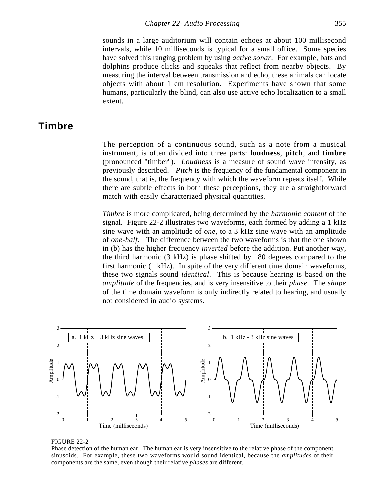sounds in a large auditorium will contain echoes at about 100 millisecond intervals, while 10 milliseconds is typical for a small office. Some species have solved this ranging problem by using *active sonar*. For example, bats and dolphins produce clicks and squeaks that reflect from nearby objects. By measuring the interval between transmission and echo, these animals can locate objects with about 1 cm resolution. Experiments have shown that some

# **Timbre**

extent.

The perception of a continuous sound, such as a note from a musical instrument, is often divided into three parts: **loudness**, **pitch**, and **timbre** (pronounced "timber"). *Loudness* is a measure of sound wave intensity, as previously described. *Pitch* is the frequency of the fundamental component in the sound, that is, the frequency with which the waveform repeats itself. While there are subtle effects in both these perceptions, they are a straightforward match with easily characterized physical quantities.

humans, particularly the blind, can also use active echo localization to a small

*Timbre* is more complicated, being determined by the *harmonic content* of the signal. Figure 22-2 illustrates two waveforms, each formed by adding a 1 kHz sine wave with an amplitude of *one*, to a 3 kHz sine wave with an amplitude of *one-half*. The difference between the two waveforms is that the one shown in (b) has the higher frequency *inverted* before the addition. Put another way, the third harmonic (3 kHz) is phase shifted by 180 degrees compared to the first harmonic (1 kHz). In spite of the very different time domain waveforms, these two signals sound *identical*. This is because hearing is based on the *amplitude* of the frequencies, and is very insensitive to their *phase*. The *shape* of the time domain waveform is only indirectly related to hearing, and usually not considered in audio systems.



### FIGURE 22-2

Phase detection of the human ear. The human ear is very insensitive to the relative phase of the component sinusoids. For example, these two waveforms would sound identical, because the *amplitudes* of their components are the same, even though their relative *phases* are different.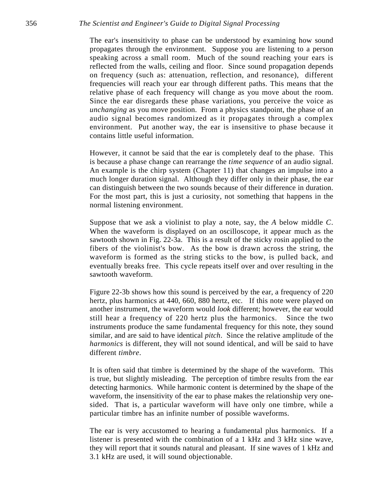356 *The Scientist and Engineer's Guide to Digital Signal Processing*

The ear's insensitivity to phase can be understood by examining how sound propagates through the environment. Suppose you are listening to a person speaking across a small room. Much of the sound reaching your ears is reflected from the walls, ceiling and floor. Since sound propagation depends on frequency (such as: attenuation, reflection, and resonance), different frequencies will reach your ear through different paths. This means that the relative phase of each frequency will change as you move about the room. Since the ear disregards these phase variations, you perceive the voice as *unchanging* as you move position. From a physics standpoint, the phase of an audio signal becomes randomized as it propagates through a complex environment. Put another way, the ear is insensitive to phase because it contains little useful information.

However, it cannot be said that the ear is completely deaf to the phase. This is because a phase change can rearrange the *time sequence* of an audio signal. An example is the chirp system (Chapter 11) that changes an impulse into a much longer duration signal. Although they differ only in their phase, the ear can distinguish between the two sounds because of their difference in duration. For the most part, this is just a curiosity, not something that happens in the normal listening environment.

Suppose that we ask a violinist to play a note, say, the *A* below middle *C*. When the waveform is displayed on an oscilloscope, it appear much as the sawtooth shown in Fig. 22-3a. This is a result of the sticky rosin applied to the fibers of the violinist's bow. As the bow is drawn across the string, the waveform is formed as the string sticks to the bow, is pulled back, and eventually breaks free. This cycle repeats itself over and over resulting in the sawtooth waveform.

Figure 22-3b shows how this sound is perceived by the ear, a frequency of 220 hertz, plus harmonics at 440, 660, 880 hertz, etc. If this note were played on another instrument, the waveform would *look* different; however, the ear would still hear a frequency of 220 hertz plus the harmonics. Since the two instruments produce the same fundamental frequency for this note, they sound similar, and are said to have identical *pitch*. Since the relative amplitude of the *harmonics* is different, they will not sound identical, and will be said to have different *timbre*.

It is often said that timbre is determined by the shape of the waveform. This is true, but slightly misleading. The perception of timbre results from the ear detecting harmonics. While harmonic content is determined by the shape of the waveform, the insensitivity of the ear to phase makes the relationship very onesided. That is, a particular waveform will have only one timbre, while a particular timbre has an infinite number of possible waveforms.

The ear is very accustomed to hearing a fundamental plus harmonics. If a listener is presented with the combination of a 1 kHz and 3 kHz sine wave, they will report that it sounds natural and pleasant. If sine waves of 1 kHz and 3.1 kHz are used, it will sound objectionable.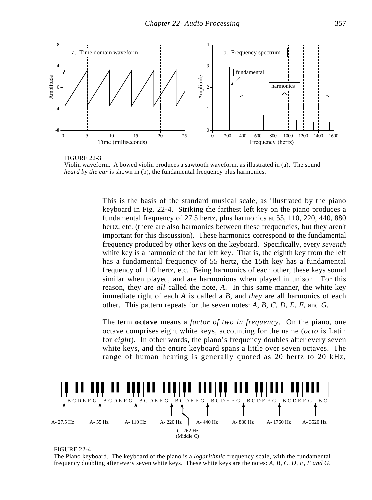

FIGURE 22-3 Violin waveform. A bowed violin produces a sawtooth waveform, as illustrated in (a). The sound *heard by the ear* is shown in (b), the fundamental frequency plus harmonics.

This is the basis of the standard musical scale, as illustrated by the piano keyboard in Fig. 22-4. Striking the farthest left key on the piano produces a fundamental frequency of 27.5 hertz, plus harmonics at 55, 110, 220, 440, 880 hertz, etc. (there are also harmonics between these frequencies, but they aren't important for this discussion). These harmonics correspond to the fundamental frequency produced by other keys on the keyboard. Specifically, every *seventh* white key is a harmonic of the far left key. That is, the eighth key from the left has a fundamental frequency of 55 hertz, the 15th key has a fundamental frequency of 110 hertz, etc. Being harmonics of each other, these keys sound similar when played, and are harmonious when played in unison. For this reason, they are *all* called the note, *A*. In this same manner, the white key immediate right of each *A* is called a *B*, and *they* are all harmonics of each other. This pattern repeats for the seven notes: *A*, *B*, *C*, *D*, *E*, *F*, and *G.*

The term **octave** means a *factor of two in frequency*. On the piano, one octave comprises eight white keys, accounting for the name (*octo* is Latin for *eight*). In other words, the piano's frequency doubles after every seven white keys, and the entire keyboard spans a little over seven octaves. The range of human hearing is generally quoted as 20 hertz to 20 kHz,



FIGURE 22-4

The Piano keyboard. The keyboard of the piano is a *logarithmic* frequency scale, with the fundamental frequency doubling after every seven white keys. These white keys are the notes: *A, B, C, D, E, F and G*.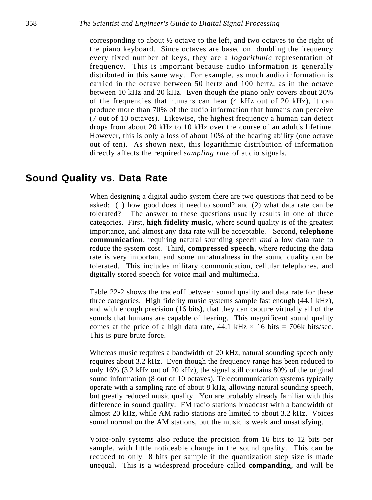corresponding to about  $\frac{1}{2}$  octave to the left, and two octaves to the right of the piano keyboard. Since octaves are based on doubling the frequency every fixed number of keys, they are a *logarithmic* representation of frequency. This is important because audio information is generally distributed in this same way. For example, as much audio information is carried in the octave between 50 hertz and 100 hertz, as in the octave between 10 kHz and 20 kHz. Even though the piano only covers about 20% of the frequencies that humans can hear (4 kHz out of 20 kHz), it can produce more than 70% of the audio information that humans can perceive (7 out of 10 octaves). Likewise, the highest frequency a human can detect drops from about 20 kHz to 10 kHz over the course of an adult's lifetime. However, this is only a loss of about 10% of the hearing ability (one octave out of ten). As shown next, this logarithmic distribution of information directly affects the required *sampling rate* of audio signals.

# **Sound Quality vs. Data Rate**

When designing a digital audio system there are two questions that need to be asked: (1) how good does it need to sound? and (2) what data rate can be tolerated? The answer to these questions usually results in one of three categories. First, **high fidelity music,** where sound quality is of the greatest importance, and almost any data rate will be acceptable. Second, **telephone communication**, requiring natural sounding speech *and* a low data rate to reduce the system cost. Third, **compressed speech**, where reducing the data rate is very important and some unnaturalness in the sound quality can be tolerated. This includes military communication, cellular telephones, and digitally stored speech for voice mail and multimedia.

Table 22-2 shows the tradeoff between sound quality and data rate for these three categories. High fidelity music systems sample fast enough (44.1 kHz), and with enough precision (16 bits), that they can capture virtually all of the sounds that humans are capable of hearing. This magnificent sound quality comes at the price of a high data rate,  $44.1 \text{ kHz} \times 16 \text{ bits} = 706 \text{ k bits/sec.}$ This is pure brute force.

Whereas music requires a bandwidth of 20 kHz, natural sounding speech only requires about 3.2 kHz. Even though the frequency range has been reduced to only 16% (3.2 kHz out of 20 kHz), the signal still contains 80% of the original sound information (8 out of 10 octaves). Telecommunication systems typically operate with a sampling rate of about 8 kHz, allowing natural sounding speech, but greatly reduced music quality. You are probably already familiar with this difference in sound quality: FM radio stations broadcast with a bandwidth of almost 20 kHz, while AM radio stations are limited to about 3.2 kHz. Voices sound normal on the AM stations, but the music is weak and unsatisfying.

Voice-only systems also reduce the precision from 16 bits to 12 bits per sample, with little noticeable change in the sound quality. This can be reduced to only 8 bits per sample if the quantization step size is made unequal. This is a widespread procedure called **companding**, and will be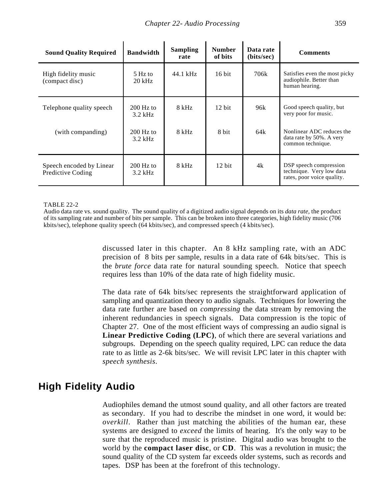| <b>Sound Quality Required</b>                 | <b>Bandwidth</b>         | <b>Sampling</b><br>rate | <b>Number</b><br>of bits | Data rate<br>(bits/sec) | <b>Comments</b>                                                                  |
|-----------------------------------------------|--------------------------|-------------------------|--------------------------|-------------------------|----------------------------------------------------------------------------------|
| High fidelity music<br>(compact disc)         | 5 Hz to<br>$20$ kHz      | 44.1 kHz                | $16$ bit                 | 706k                    | Satisfies even the most picky<br>audiophile. Better than<br>human hearing.       |
| Telephone quality speech                      | $200$ Hz to<br>$3.2$ kHz | 8 kHz                   | $12$ bit                 | 96k                     | Good speech quality, but<br>very poor for music.                                 |
| (with companding)                             | $200$ Hz to<br>$3.2$ kHz | 8 kHz                   | 8 bit                    | 64k                     | Nonlinear ADC reduces the<br>data rate by 50%. A very<br>common technique.       |
| Speech encoded by Linear<br>Predictive Coding | $200$ Hz to<br>$3.2$ kHz | 8 kHz                   | $12$ bit                 | 4k                      | DSP speech compression<br>technique. Very low data<br>rates, poor voice quality. |

### TABLE 22-2

Audio data rate vs. sound quality. The sound quality of a digitized audio signal depends on its *data rate*, the product of its sampling rate and number of bits per sample. This can be broken into three categories, high fidelity music (706 kbits/sec), telephone quality speech (64 kbits/sec), and compressed speech (4 kbits/sec).

> discussed later in this chapter. An 8 kHz sampling rate, with an ADC precision of 8 bits per sample, results in a data rate of 64k bits/sec. This is the *brute force* data rate for natural sounding speech. Notice that speech requires less than 10% of the data rate of high fidelity music.

> The data rate of 64k bits/sec represents the straightforward application of sampling and quantization theory to audio signals. Techniques for lowering the data rate further are based on *compressing* the data stream by removing the inherent redundancies in speech signals. Data compression is the topic of Chapter 27. One of the most efficient ways of compressing an audio signal is **Linear Predictive Coding (LPC)**, of which there are several variations and subgroups. Depending on the speech quality required, LPC can reduce the data rate to as little as 2-6k bits/sec. We will revisit LPC later in this chapter with *speech synthesis*.

# **High Fidelity Audio**

Audiophiles demand the utmost sound quality, and all other factors are treated as secondary. If you had to describe the mindset in one word, it would be: *overkill*. Rather than just matching the abilities of the human ear, these systems are designed to *exceed* the limits of hearing. It's the only way to be sure that the reproduced music is pristine. Digital audio was brought to the world by the **compact laser disc**, or **CD**. This was a revolution in music; the sound quality of the CD system far exceeds older systems, such as records and tapes. DSP has been at the forefront of this technology.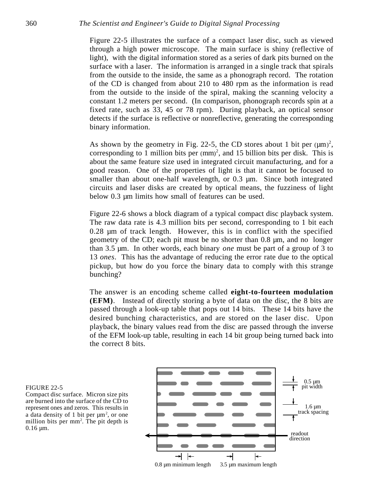Figure 22-5 illustrates the surface of a compact laser disc, such as viewed through a high power microscope. The main surface is shiny (reflective of light), with the digital information stored as a series of dark pits burned on the surface with a laser. The information is arranged in a single track that spirals from the outside to the inside, the same as a phonograph record. The rotation of the CD is changed from about 210 to 480 rpm as the information is read from the outside to the inside of the spiral, making the scanning velocity a constant 1.2 meters per second. (In comparison, phonograph records spin at a fixed rate, such as 33, 45 or 78 rpm). During playback, an optical sensor detects if the surface is reflective or nonreflective, generating the corresponding binary information.

As shown by the geometry in Fig. 22-5, the CD stores about 1 bit per  $(\mu m)^2$ , corresponding to 1 million bits per (mm) 2 , and 15 billion bits per disk. This is about the same feature size used in integrated circuit manufacturing, and for a good reason. One of the properties of light is that it cannot be focused to smaller than about one-half wavelength, or 0.3  $\mu$ m. Since both integrated circuits and laser disks are created by optical means, the fuzziness of light below 0.3 µm limits how small of features can be used.

Figure 22-6 shows a block diagram of a typical compact disc playback system. The raw data rate is 4.3 million bits per second, corresponding to 1 bit each 0.28 µm of track length. However, this is in conflict with the specified geometry of the CD; each pit must be no shorter than 0.8 µm, and no longer than 3.5 µm. In other words, each binary *one* must be part of a group of 3 to 13 *ones*. This has the advantage of reducing the error rate due to the optical pickup, but how do you force the binary data to comply with this strange bunching?

The answer is an encoding scheme called **eight-to-fourteen modulation (EFM)**. Instead of directly storing a byte of data on the disc, the 8 bits are passed through a look-up table that pops out 14 bits. These 14 bits have the desired bunching characteristics, and are stored on the laser disc. Upon playback, the binary values read from the disc are passed through the inverse of the EFM look-up table, resulting in each 14 bit group being turned back into the correct 8 bits.



### FIGURE 22-5

Compact disc surface. Micron size pits are burned into the surface of the CD to represent ones and zeros. This results in a data density of 1 bit per  $\mu$ m<sup>2</sup>, or one million bits per mm<sup>2</sup>. The pit depth is  $0.16 \mu m$ .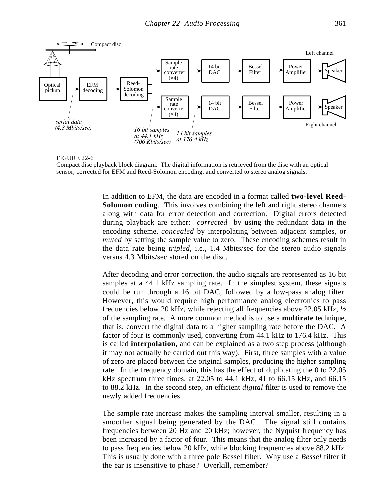



Compact disc playback block diagram. The digital information is retrieved from the disc with an optical sensor, corrected for EFM and Reed-Solomon encoding, and converted to stereo analog signals.

> In addition to EFM, the data are encoded in a format called **two-level Reed-Solomon coding**. This involves combining the left and right stereo channels along with data for error detection and correction. Digital errors detected during playback are either: *corrected* by using the redundant data in the encoding scheme, *concealed* by interpolating between adjacent samples, or *muted* by setting the sample value to zero. These encoding schemes result in the data rate being *tripled*, i.e., 1.4 Mbits/sec for the stereo audio signals versus 4.3 Mbits/sec stored on the disc.

> After decoding and error correction, the audio signals are represented as 16 bit samples at a 44.1 kHz sampling rate. In the simplest system, these signals could be run through a 16 bit DAC, followed by a low-pass analog filter. However, this would require high performance analog electronics to pass frequencies below 20 kHz, while rejecting all frequencies above 22.05 kHz, ½ of the sampling rate. A more common method is to use a **multirate** technique, that is, convert the digital data to a higher sampling rate before the DAC. A factor of four is commonly used, converting from 44.1 kHz to 176.4 kHz. This is called **interpolation**, and can be explained as a two step process (although it may not actually be carried out this way). First, three samples with a value of zero are placed between the original samples, producing the higher sampling rate. In the frequency domain, this has the effect of duplicating the 0 to 22.05 kHz spectrum three times, at 22.05 to 44.1 kHz, 41 to 66.15 kHz, and 66.15 to 88.2 kHz. In the second step, an efficient *digital* filter is used to remove the newly added frequencies.

> The sample rate increase makes the sampling interval smaller, resulting in a smoother signal being generated by the DAC. The signal still contains frequencies between 20 Hz and 20 kHz; however, the Nyquist frequency has been increased by a factor of four. This means that the analog filter only needs to pass frequencies below 20 kHz, while blocking frequencies above 88.2 kHz. This is usually done with a three pole Bessel filter. Why use a *Bessel* filter if the ear is insensitive to phase? Overkill, remember?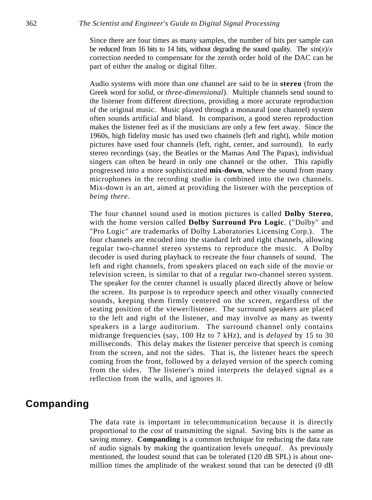Since there are four times as many samples, the number of bits per sample can be reduced from 16 bits to 14 bits, without degrading the sound quality. The  $sin(x)/x$ correction needed to compensate for the zeroth order hold of the DAC can be part of either the analog or digital filter.

Audio systems with more than one channel are said to be in **stereo** (from the Greek word for *solid*, or *three-dimensional*). Multiple channels send sound to the listener from different directions, providing a more accurate reproduction of the original music. Music played through a monaural (one channel) system often sounds artificial and bland. In comparison, a good stereo reproduction makes the listener feel as if the musicians are only a few feet away. Since the 1960s, high fidelity music has used two channels (left and right), while motion pictures have used four channels (left, right, center, and surround). In early stereo recordings (say, the Beatles or the Mamas And The Papas), individual singers can often be heard in only one channel or the other. This rapidly progressed into a more sophisticated **mix-down**, where the sound from many microphones in the recording studio is combined into the two channels. Mix-down is an art, aimed at providing the listener with the perception of *being there*.

The four channel sound used in motion pictures is called **Dolby Stereo**, with the home version called **Dolby Surround Pro Logic**. ("Dolby" and "Pro Logic" are trademarks of Dolby Laboratories Licensing Corp.). The four channels are encoded into the standard left and right channels, allowing regular two-channel stereo systems to reproduce the music. A Dolby decoder is used during playback to recreate the four channels of sound. The left and right channels, from speakers placed on each side of the movie or television screen, is similar to that of a regular two-channel stereo system. The speaker for the center channel is usually placed directly above or below the screen. Its purpose is to reproduce speech and other visually connected sounds, keeping them firmly centered on the screen, regardless of the seating position of the viewer/listener. The surround speakers are placed to the left and right of the listener, and may involve as many as twenty speakers in a large auditorium. The surround channel only contains midrange frequencies (say, 100 Hz to 7 kHz), and is *delayed* by 15 to 30 milliseconds. This delay makes the listener perceive that speech is coming from the screen, and not the sides. That is, the listener hears the speech coming from the front, followed by a delayed version of the speech coming from the sides. The listener's mind interprets the delayed signal as a reflection from the walls, and ignores it.

# **Companding**

The data rate is important in telecommunication because it is directly proportional to the *cost* of transmitting the signal. Saving bits is the same as saving money. **Companding** is a common technique for reducing the data rate of audio signals by making the quantization levels *unequal*. As previously mentioned, the loudest sound that can be tolerated (120 dB SPL) is about onemillion times the amplitude of the weakest sound that can be detected (0 dB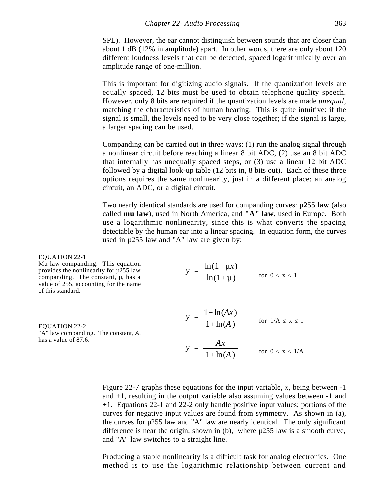SPL). However, the ear cannot distinguish between sounds that are closer than about 1 dB (12% in amplitude) apart. In other words, there are only about 120 different loudness levels that can be detected, spaced logarithmically over an amplitude range of one-million.

This is important for digitizing audio signals. If the quantization levels are equally spaced, 12 bits must be used to obtain telephone quality speech. However, only 8 bits are required if the quantization levels are made *unequal*, matching the characteristics of human hearing. This is quite intuitive: if the signal is small, the levels need to be very close together; if the signal is large, a larger spacing can be used.

Companding can be carried out in three ways: (1) run the analog signal through a nonlinear circuit before reaching a linear 8 bit ADC, (2) use an 8 bit ADC that internally has unequally spaced steps, or (3) use a linear 12 bit ADC followed by a digital look-up table (12 bits in, 8 bits out). Each of these three options requires the same nonlinearity, just in a different place: an analog circuit, an ADC, or a digital circuit.

Two nearly identical standards are used for companding curves: **µ255 law** (also called **mu law**), used in North America, and **"A" law**, used in Europe. Both use a logarithmic nonlinearity, since this is what converts the spacing detectable by the human ear into a linear spacing. In equation form, the curves used in  $\mu$ 255 law and "A" law are given by:

### EQUATION 22-1

Mu law companding. This equation provides the nonlinearity for µ255 law companding. The constant,  $\mu$ , has a value of 255, accounting for the name of this standard.

EQUATION 22-2 "A" law companding. The constant, *A*, has a value of 87.6.

$$
y = \frac{\ln(1 + \mu x)}{\ln(1 + \mu)}
$$
 for  $0 \le x \le 1$ 

$$
y = \frac{1 + \ln(Ax)}{1 + \ln(A)}
$$
 for  $1/A \le x \le 1$   

$$
y = \frac{Ax}{1 + \ln(A)}
$$
 for  $0 \le x \le 1/A$ 

Figure 22-7 graphs these equations for the input variable, *x*, being between -1 and +1, resulting in the output variable also assuming values between -1 and +1. Equations 22-1 and 22-2 only handle positive input values; portions of the curves for negative input values are found from symmetry. As shown in (a), the curves for  $\mu$ 255 law and "A" law are nearly identical. The only significant difference is near the origin, shown in  $(b)$ , where  $\mu$ 255 law is a smooth curve, and "A" law switches to a straight line.

Producing a stable nonlinearity is a difficult task for analog electronics. One method is to use the logarithmic relationship between current and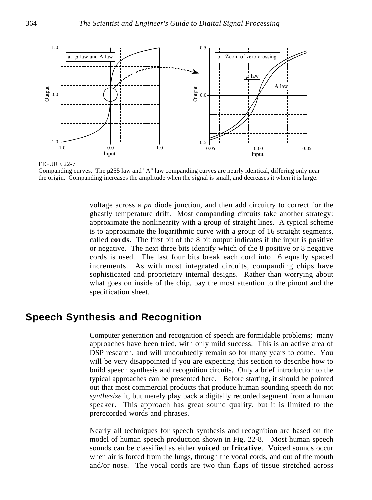

Companding curves. The µ255 law and "A" law companding curves are nearly identical, differing only near

voltage across a *pn* diode junction, and then add circuitry to correct for the ghastly temperature drift. Most companding circuits take another strategy: approximate the nonlinearity with a group of straight lines. A typical scheme is to approximate the logarithmic curve with a group of 16 straight segments, called **cords**. The first bit of the 8 bit output indicates if the input is positive or negative. The next three bits identify which of the 8 positive or 8 negative cords is used. The last four bits break each cord into 16 equally spaced increments. As with most integrated circuits, companding chips have sophisticated and proprietary internal designs. Rather than worrying about what goes on inside of the chip, pay the most attention to the pinout and the specification sheet.

# **Speech Synthesis and Recognition**

Computer generation and recognition of speech are formidable problems; many approaches have been tried, with only mild success. This is an active area of DSP research, and will undoubtedly remain so for many years to come. You will be very disappointed if you are expecting this section to describe how to build speech synthesis and recognition circuits. Only a brief introduction to the typical approaches can be presented here. Before starting, it should be pointed out that most commercial products that produce human sounding speech do not *synthesize* it, but merely play back a digitally recorded segment from a human speaker. This approach has great sound quality, but it is limited to the prerecorded words and phrases.

Nearly all techniques for speech synthesis and recognition are based on the model of human speech production shown in Fig. 22-8. Most human speech sounds can be classified as either **voiced** or **fricative**. Voiced sounds occur when air is forced from the lungs, through the vocal cords, and out of the mouth and/or nose. The vocal cords are two thin flaps of tissue stretched across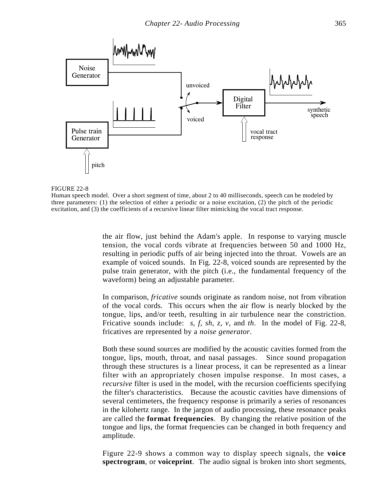



Human speech model. Over a short segment of time, about 2 to 40 milliseconds, speech can be modeled by three parameters: (1) the selection of either a periodic or a noise excitation, (2) the pitch of the periodic excitation, and (3) the coefficients of a recursive linear filter mimicking the vocal tract response.

the air flow, just behind the Adam's apple. In response to varying muscle tension, the vocal cords vibrate at frequencies between 50 and 1000 Hz, resulting in periodic puffs of air being injected into the throat. Vowels are an example of voiced sounds. In Fig. 22-8, voiced sounds are represented by the pulse train generator, with the pitch (i.e., the fundamental frequency of the waveform) being an adjustable parameter.

In comparison, *fricative* sounds originate as random noise, not from vibration of the vocal cords. This occurs when the air flow is nearly blocked by the tongue, lips, and/or teeth, resulting in air turbulence near the constriction. Fricative sounds include: *s*, *f*, *sh*, *z*, *v*, and *th*. In the model of Fig. 22-8, fricatives are represented by a *noise generator*.

Both these sound sources are modified by the acoustic cavities formed from the tongue, lips, mouth, throat, and nasal passages. Since sound propagation through these structures is a linear process, it can be represented as a linear filter with an appropriately chosen impulse response. In most cases, a *recursive* filter is used in the model, with the recursion coefficients specifying the filter's characteristics. Because the acoustic cavities have dimensions of several centimeters, the frequency response is primarily a series of resonances in the kilohertz range. In the jargon of audio processing, these resonance peaks are called the **format frequencies**. By changing the relative position of the tongue and lips, the format frequencies can be changed in both frequency and amplitude.

Figure 22-9 shows a common way to display speech signals, the **voice spectrogram**, or **voiceprint**. The audio signal is broken into short segments,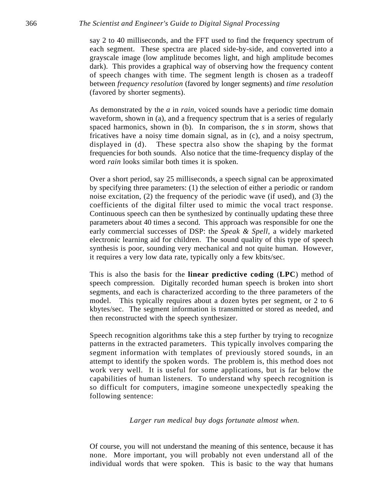### 366 *The Scientist and Engineer's Guide to Digital Signal Processing*

say 2 to 40 milliseconds, and the FFT used to find the frequency spectrum of each segment. These spectra are placed side-by-side, and converted into a grayscale image (low amplitude becomes light, and high amplitude becomes dark). This provides a graphical way of observing how the frequency content of speech changes with time. The segment length is chosen as a tradeoff between *frequency resolution* (favored by longer segments) and *time resolution* (favored by shorter segments).

As demonstrated by the *a* in *rain*, voiced sounds have a periodic time domain waveform, shown in (a), and a frequency spectrum that is a series of regularly spaced harmonics, shown in (b). In comparison, the *s* in *storm*, shows that fricatives have a noisy time domain signal, as in (c), and a noisy spectrum, displayed in (d). These spectra also show the shaping by the format frequencies for both sounds. Also notice that the time-frequency display of the word *rain* looks similar both times it is spoken.

Over a short period, say 25 milliseconds, a speech signal can be approximated by specifying three parameters: (1) the selection of either a periodic or random noise excitation, (2) the frequency of the periodic wave (if used), and (3) the coefficients of the digital filter used to mimic the vocal tract response. Continuous speech can then be synthesized by continually updating these three parameters about 40 times a second. This approach was responsible for one the early commercial successes of DSP: the *Speak & Spell*, a widely marketed electronic learning aid for children. The sound quality of this type of speech synthesis is poor, sounding very mechanical and not quite human. However, it requires a very low data rate, typically only a few kbits/sec.

This is also the basis for the **linear predictive coding** (**LPC**) method of speech compression. Digitally recorded human speech is broken into short segments, and each is characterized according to the three parameters of the model. This typically requires about a dozen bytes per segment, or 2 to 6 kbytes/sec. The segment information is transmitted or stored as needed, and then reconstructed with the speech synthesizer.

Speech recognition algorithms take this a step further by trying to recognize patterns in the extracted parameters. This typically involves comparing the segment information with templates of previously stored sounds, in an attempt to identify the spoken words. The problem is, this method does not work very well. It is useful for some applications, but is far below the capabilities of human listeners. To understand why speech recognition is so difficult for computers, imagine someone unexpectedly speaking the following sentence:

### *Larger run medical buy dogs fortunate almost when.*

Of course, you will not understand the meaning of this sentence, because it has none. More important, you will probably not even understand all of the individual words that were spoken. This is basic to the way that humans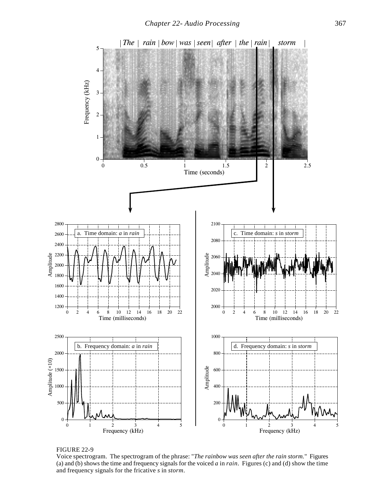

### FIGURE 22-9

Voice spectrogram. The spectrogram of the phrase: "*The rainbow was seen after the rain storm.*" Figures (a) and (b) shows the time and frequency signals for the voiced *a* in *rain*. Figures (c) and (d) show the time and frequency signals for the fricative *s* in *storm*.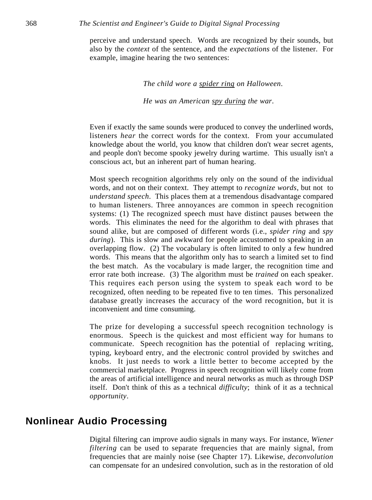perceive and understand speech. Words are recognized by their sounds, but also by the *context* of the sentence, and the *expectations* of the listener. For example, imagine hearing the two sentences:

 *The child wore a spider ring on Halloween*.

 *He was an American spy during the war*.

Even if exactly the same sounds were produced to convey the underlined words, listeners *hear* the correct words for the context. From your accumulated knowledge about the world, you know that children don't wear secret agents, and people don't become spooky jewelry during wartime. This usually isn't a conscious act, but an inherent part of human hearing.

Most speech recognition algorithms rely only on the sound of the individual words, and not on their context. They attempt to *recognize words*, but not to *understand speech*. This places them at a tremendous disadvantage compared to human listeners. Three annoyances are common in speech recognition systems: (1) The recognized speech must have distinct pauses between the words. This eliminates the need for the algorithm to deal with phrases that sound alike, but are composed of different words (i.e., *spider ring* and *spy during*). This is slow and awkward for people accustomed to speaking in an overlapping flow. (2) The vocabulary is often limited to only a few hundred words. This means that the algorithm only has to search a limited set to find the best match. As the vocabulary is made larger, the recognition time and error rate both increase. (3) The algorithm must be *trained* on each speaker. This requires each person using the system to speak each word to be recognized, often needing to be repeated five to ten times. This personalized database greatly increases the accuracy of the word recognition, but it is inconvenient and time consuming.

The prize for developing a successful speech recognition technology is enormous. Speech is the quickest and most efficient way for humans to communicate. Speech recognition has the potential of replacing writing, typing, keyboard entry, and the electronic control provided by switches and knobs. It just needs to work a little better to become accepted by the commercial marketplace. Progress in speech recognition will likely come from the areas of artificial intelligence and neural networks as much as through DSP itself. Don't think of this as a technical *difficulty*; think of it as a technical *opportunity*.

# **Nonlinear Audio Processing**

Digital filtering can improve audio signals in many ways. For instance, *Wiener filtering* can be used to separate frequencies that are mainly signal, from frequencies that are mainly noise (see Chapter 17). Likewise, *deconvolution* can compensate for an undesired convolution, such as in the restoration of old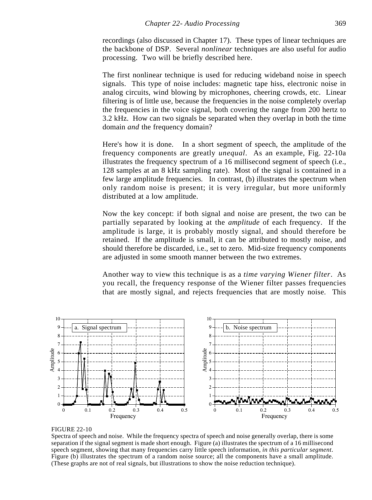recordings (also discussed in Chapter 17). These types of linear techniques are the backbone of DSP. Several *nonlinear* techniques are also useful for audio processing. Two will be briefly described here.

The first nonlinear technique is used for reducing wideband noise in speech signals. This type of noise includes: magnetic tape hiss, electronic noise in analog circuits, wind blowing by microphones, cheering crowds, etc. Linear filtering is of little use, because the frequencies in the noise completely overlap the frequencies in the voice signal, both covering the range from 200 hertz to 3.2 kHz. How can two signals be separated when they overlap in both the time domain *and* the frequency domain?

Here's how it is done. In a short segment of speech, the amplitude of the frequency components are greatly *unequal*. As an example, Fig. 22-10a illustrates the frequency spectrum of a 16 millisecond segment of speech (i.e., 128 samples at an 8 kHz sampling rate). Most of the signal is contained in a few large amplitude frequencies. In contrast, (b) illustrates the spectrum when only random noise is present; it is very irregular, but more uniformly distributed at a low amplitude.

Now the key concept: if both signal and noise are present, the two can be partially separated by looking at the *amplitude* of each frequency. If the amplitude is large, it is probably mostly signal, and should therefore be retained. If the amplitude is small, it can be attributed to mostly noise, and should therefore be discarded, i.e., set to zero. Mid-size frequency components are adjusted in some smooth manner between the two extremes.

Another way to view this technique is as a *time varying Wiener filter*. As you recall, the frequency response of the Wiener filter passes frequencies that are mostly signal, and rejects frequencies that are mostly noise. This



### FIGURE 22-10

Spectra of speech and noise. While the frequency spectra of speech and noise generally overlap, there is some separation if the signal segment is made short enough. Figure (a) illustrates the spectrum of a 16 millisecond speech segment, showing that many frequencies carry little speech information, *in this particular segment*. Figure (b) illustrates the spectrum of a random noise source; all the components have a small amplitude.<br>(These graphs are not of real signals, but illustrations to show the noise reduction technique).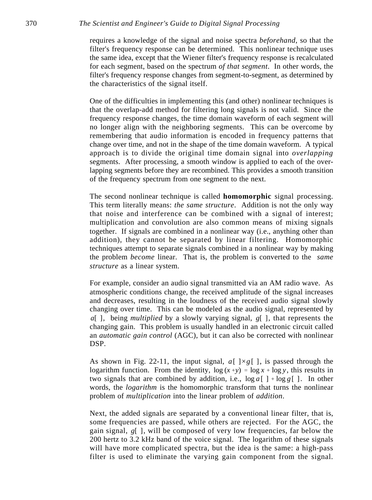### 370 *The Scientist and Engineer's Guide to Digital Signal Processing*

requires a knowledge of the signal and noise spectra *beforehand*, so that the filter's frequency response can be determined. This nonlinear technique uses the same idea, except that the Wiener filter's frequency response is recalculated for each segment, based on the spectrum *of that segment*. In other words, the filter's frequency response changes from segment-to-segment, as determined by the characteristics of the signal itself.

One of the difficulties in implementing this (and other) nonlinear techniques is that the overlap-add method for filtering long signals is not valid. Since the frequency response changes, the time domain waveform of each segment will no longer align with the neighboring segments. This can be overcome by remembering that audio information is encoded in frequency patterns that change over time, and not in the shape of the time domain waveform. A typical approach is to divide the original time domain signal into *overlapping* segments. After processing, a smooth window is applied to each of the overlapping segments before they are recombined. This provides a smooth transition of the frequency spectrum from one segment to the next.

The second nonlinear technique is called **homomorphic** signal processing. This term literally means: *the same structure*. Addition is not the only way that noise and interference can be combined with a signal of interest; multiplication and convolution are also common means of mixing signals together. If signals are combined in a nonlinear way (i.e., anything other than addition), they cannot be separated by linear filtering. Homomorphic techniques attempt to separate signals combined in a nonlinear way by making the problem *become* linear. That is, the problem is converted to the *same structure* as a linear system.

For example, consider an audio signal transmitted via an AM radio wave. As atmospheric conditions change, the received amplitude of the signal increases and decreases, resulting in the loudness of the received audio signal slowly changing over time. This can be modeled as the audio signal, represented by *a*[ ], being *multiplied* by a slowly varying signal, *g*[ ], that represents the changing gain. This problem is usually handled in an electronic circuit called an *automatic gain control* (AGC), but it can also be corrected with nonlinear DSP.

As shown in Fig. 22-11, the input signal,  $a[$   $]\times g[$  ], is passed through the logarithm function. From the identity,  $\log (x+y) = \log x + \log y$ , this results in two signals that are combined by addition, i.e.,  $\log a$  [ ] +  $\log g$  [ ]. In other words, the *logarithm* is the homomorphic transform that turns the nonlinear problem of *multiplication* into the linear problem of *addition*.

Next, the added signals are separated by a conventional linear filter, that is, some frequencies are passed, while others are rejected. For the AGC, the gain signal, *g*[ ], will be composed of very low frequencies, far below the 200 hertz to 3.2 kHz band of the voice signal. The logarithm of these signals will have more complicated spectra, but the idea is the same: a high-pass filter is used to eliminate the varying gain component from the signal.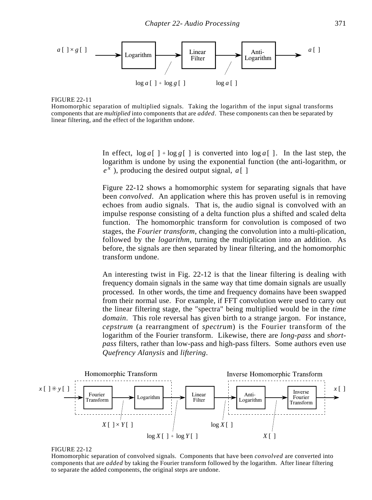

FIGURE 22-11

Homomorphic separation of multiplied signals. Taking the logarithm of the input signal transforms components that are *multiplied* into components that are *added*. These components can then be separated by linear filtering, and the effect of the logarithm undone.

In effect,  $\log a$  [ ] +  $\log g$  [ ] is converted into  $\log a$  [ ]. In the last step, the logarithm is undone by using the exponential function (the anti-logarithm, or  $e^{\overline{x}}$ ), producing the desired output signal, *a*[]

Figure 22-12 shows a homomorphic system for separating signals that have been *convolved*. An application where this has proven useful is in removing echoes from audio signals. That is, the audio signal is convolved with an impulse response consisting of a delta function plus a shifted and scaled delta function. The homomorphic transform for convolution is composed of two stages, the *Fourier transform*, changing the convolution into a multi-plication, followed by the *logarithm*, turning the multiplication into an addition. As before, the signals are then separated by linear filtering, and the homomorphic transform undone.

An interesting twist in Fig. 22-12 is that the linear filtering is dealing with frequency domain signals in the same way that time domain signals are usually processed. In other words, the time and frequency domains have been swapped from their normal use. For example, if FFT convolution were used to carry out the linear filtering stage, the "spectra" being multiplied would be in the *time domain*. This role reversal has given birth to a strange jargon. For instance, *cepstrum* (a rearrangment of *spectrum*) is the Fourier transform of the logarithm of the Fourier transform. Likewise, there are *long-pass* and *shortpass* filters, rather than low-pass and high-pass filters. Some authors even use *Quefrency Alanysis* and *liftering*.



### FIGURE 22-12

Homomorphic separation of convolved signals. Components that have been *convolved* are converted into components that are *added* by taking the Fourier transform followed by the logarithm. After linear filtering to separate the added components, the original steps are undone.